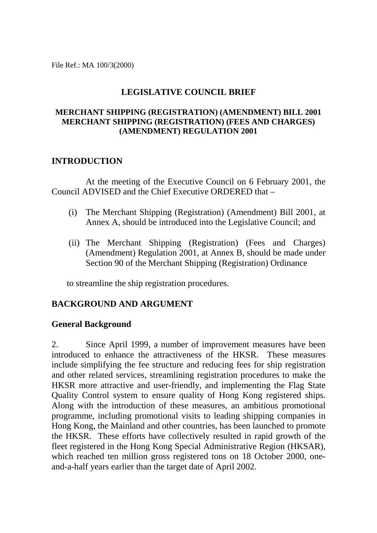File Ref.: MA 100/3(2000)

# **LEGISLATIVE COUNCIL BRIEF**

# **MERCHANT SHIPPING (REGISTRATION) (AMENDMENT) BILL 2001 MERCHANT SHIPPING (REGISTRATION) (FEES AND CHARGES) (AMENDMENT) REGULATION 2001**

# **INTRODUCTION**

At the meeting of the Executive Council on 6 February 2001, the Council ADVISED and the Chief Executive ORDERED that –

- (i) The Merchant Shipping (Registration) (Amendment) Bill 2001, at Annex A, should be introduced into the Legislative Council; and
- (ii) The Merchant Shipping (Registration) (Fees and Charges) (Amendment) Regulation 2001, at Annex B, should be made under Section 90 of the Merchant Shipping (Registration) Ordinance

to streamline the ship registration procedures.

# **BACKGROUND AND ARGUMENT**

# **General Background**

2. Since April 1999, a number of improvement measures have been introduced to enhance the attractiveness of the HKSR. These measures include simplifying the fee structure and reducing fees for ship registration and other related services, streamlining registration procedures to make the HKSR more attractive and user-friendly, and implementing the Flag State Quality Control system to ensure quality of Hong Kong registered ships. Along with the introduction of these measures, an ambitious promotional programme, including promotional visits to leading shipping companies in Hong Kong, the Mainland and other countries, has been launched to promote the HKSR. These efforts have collectively resulted in rapid growth of the fleet registered in the Hong Kong Special Administrative Region (HKSAR), which reached ten million gross registered tons on 18 October 2000, oneand-a-half years earlier than the target date of April 2002.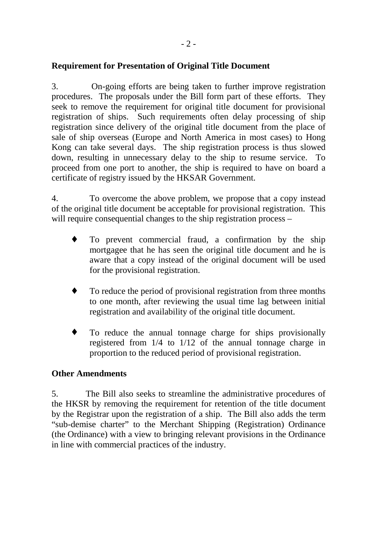# **Requirement for Presentation of Original Title Document**

3. On-going efforts are being taken to further improve registration procedures. The proposals under the Bill form part of these efforts. They seek to remove the requirement for original title document for provisional registration of ships. Such requirements often delay processing of ship registration since delivery of the original title document from the place of sale of ship overseas (Europe and North America in most cases) to Hong Kong can take several days. The ship registration process is thus slowed down, resulting in unnecessary delay to the ship to resume service. To proceed from one port to another, the ship is required to have on board a certificate of registry issued by the HKSAR Government.

4. To overcome the above problem, we propose that a copy instead of the original title document be acceptable for provisional registration. This will require consequential changes to the ship registration process –

- ♦ To prevent commercial fraud, a confirmation by the ship mortgagee that he has seen the original title document and he is aware that a copy instead of the original document will be used for the provisional registration.
- ♦ To reduce the period of provisional registration from three months to one month, after reviewing the usual time lag between initial registration and availability of the original title document.
- ♦ To reduce the annual tonnage charge for ships provisionally registered from 1/4 to 1/12 of the annual tonnage charge in proportion to the reduced period of provisional registration.

# **Other Amendments**

5. The Bill also seeks to streamline the administrative procedures of the HKSR by removing the requirement for retention of the title document by the Registrar upon the registration of a ship. The Bill also adds the term "sub-demise charter" to the Merchant Shipping (Registration) Ordinance (the Ordinance) with a view to bringing relevant provisions in the Ordinance in line with commercial practices of the industry.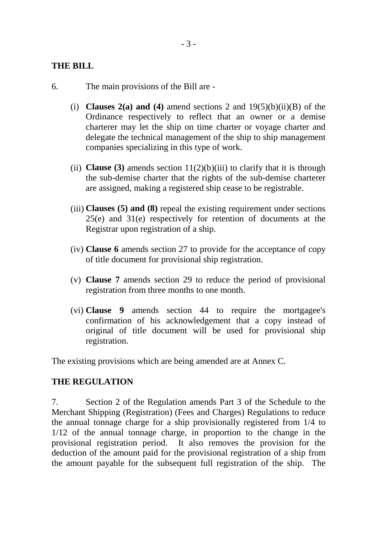# **THE BILL**

- 6. The main provisions of the Bill are
	- (i) **Clauses 2(a) and (4)** amend sections 2 and 19(5)(b)(ii)(B) of the Ordinance respectively to reflect that an owner or a demise charterer may let the ship on time charter or voyage charter and delegate the technical management of the ship to ship management companies specializing in this type of work.
	- (ii) **Clause (3)** amends section  $11(2)(b)(iii)$  to clarify that it is through the sub-demise charter that the rights of the sub-demise charterer are assigned, making a registered ship cease to be registrable.
	- (iii) **Clauses (5) and (8)** repeal the existing requirement under sections 25(e) and 31(e) respectively for retention of documents at the Registrar upon registration of a ship.
	- (iv) **Clause 6** amends section 27 to provide for the acceptance of copy of title document for provisional ship registration.
	- (v) **Clause 7** amends section 29 to reduce the period of provisional registration from three months to one month.
	- (vi) **Clause 9** amends section 44 to require the mortgagee's confirmation of his acknowledgement that a copy instead of original of title document will be used for provisional ship registration.

The existing provisions which are being amended are at Annex C.

# **THE REGULATION**

7. Section 2 of the Regulation amends Part 3 of the Schedule to the Merchant Shipping (Registration) (Fees and Charges) Regulations to reduce the annual tonnage charge for a ship provisionally registered from 1/4 to 1/12 of the annual tonnage charge, in proportion to the change in the provisional registration period. It also removes the provision for the deduction of the amount paid for the provisional registration of a ship from the amount payable for the subsequent full registration of the ship. The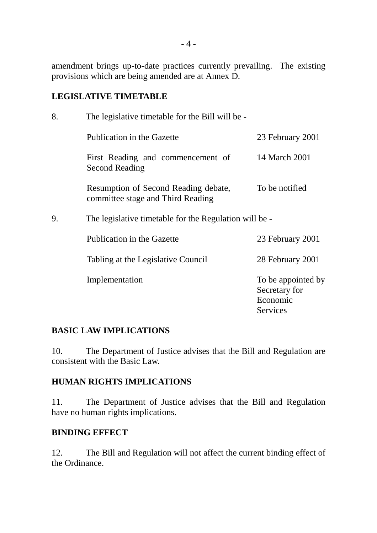amendment brings up-to-date practices currently prevailing. The existing provisions which are being amended are at Annex D.

# **LEGISLATIVE TIMETABLE**

| 8. | The legislative timetable for the Bill will be -                          |                                                 |  |  |
|----|---------------------------------------------------------------------------|-------------------------------------------------|--|--|
|    | Publication in the Gazette                                                | 23 February 2001                                |  |  |
|    | First Reading and commencement of<br><b>Second Reading</b>                | 14 March 2001                                   |  |  |
|    | Resumption of Second Reading debate,<br>committee stage and Third Reading | To be notified                                  |  |  |
| 9. | The legislative timetable for the Regulation will be -                    |                                                 |  |  |
|    | Publication in the Gazette                                                | 23 February 2001                                |  |  |
|    | Tabling at the Legislative Council                                        | 28 February 2001                                |  |  |
|    | Implementation                                                            | To be appointed by<br>Secretary for<br>Economic |  |  |
|    |                                                                           | Services                                        |  |  |

# **BASIC LAW IMPLICATIONS**

10. The Department of Justice advises that the Bill and Regulation are consistent with the Basic Law.

# **HUMAN RIGHTS IMPLICATIONS**

11. The Department of Justice advises that the Bill and Regulation have no human rights implications.

# **BINDING EFFECT**

12. The Bill and Regulation will not affect the current binding effect of the Ordinance.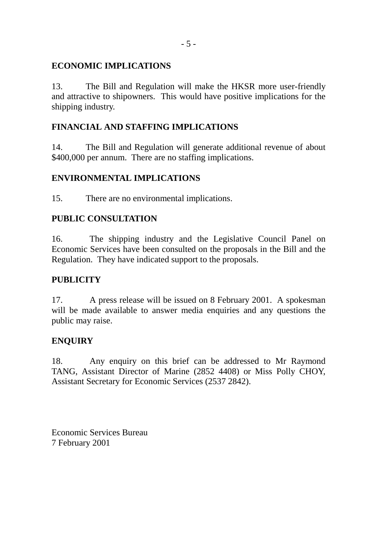# **ECONOMIC IMPLICATIONS**

13. The Bill and Regulation will make the HKSR more user-friendly and attractive to shipowners. This would have positive implications for the shipping industry.

# **FINANCIAL AND STAFFING IMPLICATIONS**

14. The Bill and Regulation will generate additional revenue of about \$400,000 per annum. There are no staffing implications.

# **ENVIRONMENTAL IMPLICATIONS**

15. There are no environmental implications.

# **PUBLIC CONSULTATION**

16. The shipping industry and the Legislative Council Panel on Economic Services have been consulted on the proposals in the Bill and the Regulation. They have indicated support to the proposals.

# **PUBLICITY**

17. A press release will be issued on 8 February 2001. A spokesman will be made available to answer media enquiries and any questions the public may raise.

# **ENQUIRY**

18. Any enquiry on this brief can be addressed to Mr Raymond TANG, Assistant Director of Marine (2852 4408) or Miss Polly CHOY, Assistant Secretary for Economic Services (2537 2842).

Economic Services Bureau 7 February 2001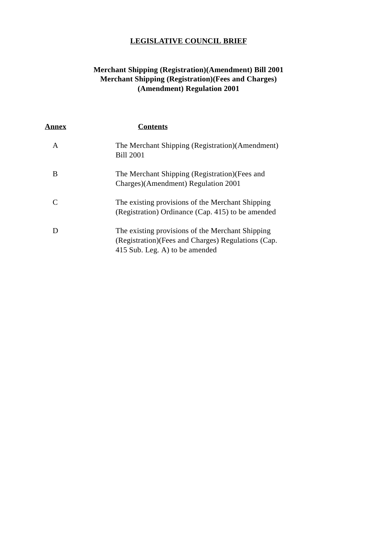# **LEGISLATIVE COUNCIL BRIEF**

# **Merchant Shipping (Registration)(Amendment) Bill 2001 Merchant Shipping (Registration)(Fees and Charges) (Amendment) Regulation 2001**

| <u>Annex</u> | <b>Contents</b>                                                                                                                           |
|--------------|-------------------------------------------------------------------------------------------------------------------------------------------|
| A            | The Merchant Shipping (Registration) (Amendment)<br><b>Bill 2001</b>                                                                      |
| B            | The Merchant Shipping (Registration) (Fees and<br>Charges)(Amendment) Regulation 2001                                                     |
|              | The existing provisions of the Merchant Shipping<br>(Registration) Ordinance (Cap. 415) to be amended                                     |
|              | The existing provisions of the Merchant Shipping<br>(Registration) (Fees and Charges) Regulations (Cap.<br>415 Sub. Leg. A) to be amended |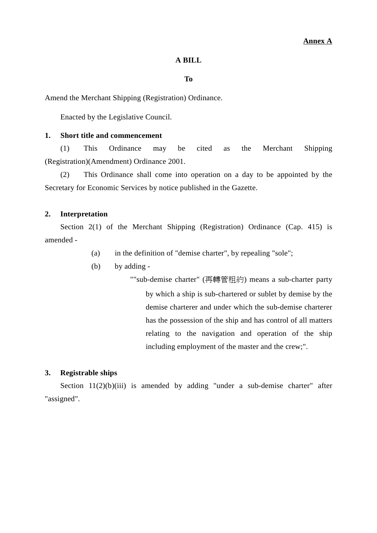# **A BILL**

# **To**

Amend the Merchant Shipping (Registration) Ordinance.

Enacted by the Legislative Council.

# **1. Short title and commencement**

(1) This Ordinance may be cited as the Merchant Shipping (Registration)(Amendment) Ordinance 2001.

(2) This Ordinance shall come into operation on a day to be appointed by the Secretary for Economic Services by notice published in the Gazette.

# **2. Interpretation**

Section 2(1) of the Merchant Shipping (Registration) Ordinance (Cap. 415) is amended -

- (a) in the definition of "demise charter", by repealing "sole";
- (b) by adding -

""sub-demise charter" (再轉管租約) means a sub-charter party by which a ship is sub-chartered or sublet by demise by the demise charterer and under which the sub-demise charterer has the possession of the ship and has control of all matters relating to the navigation and operation of the ship including employment of the master and the crew;".

# **3. Registrable ships**

Section  $11(2)(b)(iii)$  is amended by adding "under a sub-demise charter" after "assigned".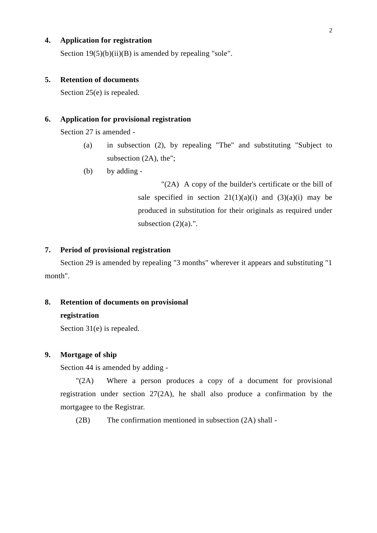# **4. Application for registration**

Section  $19(5)(b)(ii)(B)$  is amended by repealing "sole".

# **5. Retention of documents**

Section 25(e) is repealed.

# **6. Application for provisional registration**

Section 27 is amended -

- (a) in subsection (2), by repealing "The" and substituting "Subject to subsection (2A), the";
- (b) by adding -

"(2A) A copy of the builder's certificate or the bill of sale specified in section  $21(1)(a)(i)$  and  $(3)(a)(i)$  may be produced in substitution for their originals as required under subsection  $(2)(a)$ .".

# **7. Period of provisional registration**

Section 29 is amended by repealing "3 months" wherever it appears and substituting "1 month".

# **8. Retention of documents on provisional**

# **registration**

Section 31(e) is repealed.

# **9. Mortgage of ship**

Section 44 is amended by adding -

"(2A) Where a person produces a copy of a document for provisional registration under section 27(2A), he shall also produce a confirmation by the mortgagee to the Registrar.

(2B) The confirmation mentioned in subsection (2A) shall -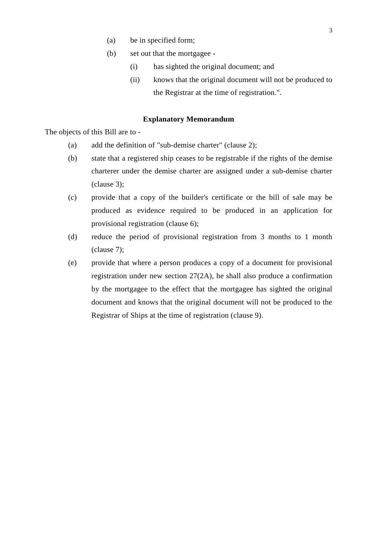- (a) be in specified form;
- (b) set out that the mortgagee
	- (i) has sighted the original document; and
	- (ii) knows that the original document will not be produced to the Registrar at the time of registration.".

# **Explanatory Memorandum**

The objects of this Bill are to -

- (a) add the definition of "sub-demise charter" (clause 2);
- (b) state that a registered ship ceases to be registrable if the rights of the demise charterer under the demise charter are assigned under a sub-demise charter (clause 3);
- (c) provide that a copy of the builder's certificate or the bill of sale may be produced as evidence required to be produced in an application for provisional registration (clause 6);
- (d) reduce the period of provisional registration from 3 months to 1 month (clause 7);
- (e) provide that where a person produces a copy of a document for provisional registration under new section 27(2A), he shall also produce a confirmation by the mortgagee to the effect that the mortgagee has sighted the original document and knows that the original document will not be produced to the Registrar of Ships at the time of registration (clause 9).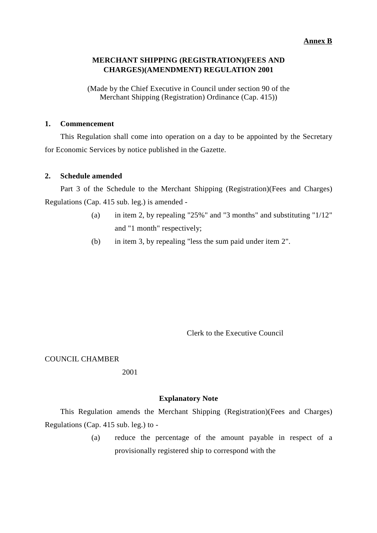# **Annex B**

# **MERCHANT SHIPPING (REGISTRATION)(FEES AND CHARGES)(AMENDMENT) REGULATION 2001**

(Made by the Chief Executive in Council under section 90 of the Merchant Shipping (Registration) Ordinance (Cap. 415))

# **1. Commencement**

This Regulation shall come into operation on a day to be appointed by the Secretary for Economic Services by notice published in the Gazette.

# **2. Schedule amended**

Part 3 of the Schedule to the Merchant Shipping (Registration)(Fees and Charges) Regulations (Cap. 415 sub. leg.) is amended -

- (a) in item 2, by repealing "25%" and "3 months" and substituting "1/12" and "1 month" respectively;
- (b) in item 3, by repealing "less the sum paid under item 2".

Clerk to the Executive Council

# COUNCIL CHAMBER

# 2001

# **Explanatory Note**

This Regulation amends the Merchant Shipping (Registration)(Fees and Charges) Regulations (Cap. 415 sub. leg.) to -

> (a) reduce the percentage of the amount payable in respect of a provisionally registered ship to correspond with the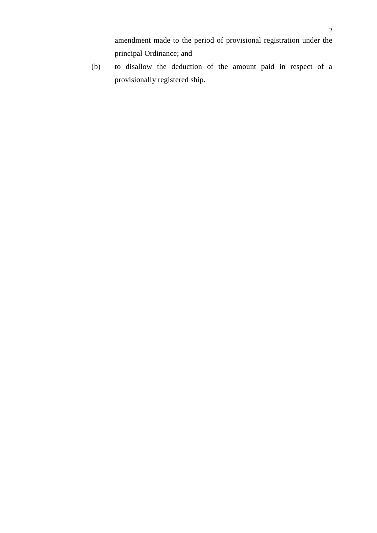amendment made to the period of provisional registration under the principal Ordinance; and

(b) to disallow the deduction of the amount paid in respect of a provisionally registered ship.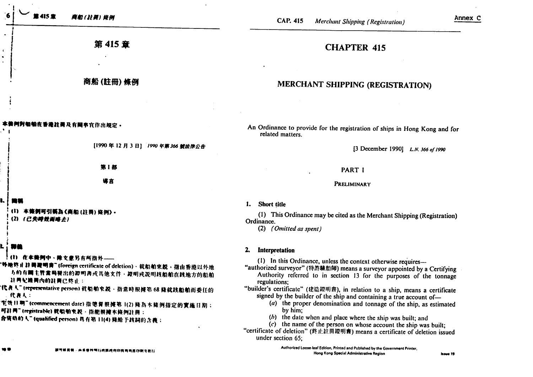|     | 第415 章<br>商船(註冊)條例                                                                                                                                                                                                                                                                                                                                                                       | Annex C<br><b>CAP. 415</b><br><b>Merchant Shipping (Registration)</b>                                                                                                                                                                                                                                                                                                                                                                                                                                                                                                                                                                                                                                                                 |  |
|-----|------------------------------------------------------------------------------------------------------------------------------------------------------------------------------------------------------------------------------------------------------------------------------------------------------------------------------------------------------------------------------------------|---------------------------------------------------------------------------------------------------------------------------------------------------------------------------------------------------------------------------------------------------------------------------------------------------------------------------------------------------------------------------------------------------------------------------------------------------------------------------------------------------------------------------------------------------------------------------------------------------------------------------------------------------------------------------------------------------------------------------------------|--|
|     | 第 415 章                                                                                                                                                                                                                                                                                                                                                                                  | <b>CHAPTER 415</b>                                                                                                                                                                                                                                                                                                                                                                                                                                                                                                                                                                                                                                                                                                                    |  |
|     | 商船(註冊)條例                                                                                                                                                                                                                                                                                                                                                                                 | MERCHANT SHIPPING (REGISTRATION)                                                                                                                                                                                                                                                                                                                                                                                                                                                                                                                                                                                                                                                                                                      |  |
|     | <b>用對船舶在香港註冊及有關事宜作出規定。</b>                                                                                                                                                                                                                                                                                                                                                               | An Ordinance to provide for the registration of ships in Hong Kong and for<br>related matters.                                                                                                                                                                                                                                                                                                                                                                                                                                                                                                                                                                                                                                        |  |
|     | [1990年12月3日] 1990年第366號法律公告                                                                                                                                                                                                                                                                                                                                                              | [3 December 1990] L.N. 366 of 1990                                                                                                                                                                                                                                                                                                                                                                                                                                                                                                                                                                                                                                                                                                    |  |
|     | 第1部                                                                                                                                                                                                                                                                                                                                                                                      | PART I                                                                                                                                                                                                                                                                                                                                                                                                                                                                                                                                                                                                                                                                                                                                |  |
|     | 導言                                                                                                                                                                                                                                                                                                                                                                                       | PRELIMINARY                                                                                                                                                                                                                                                                                                                                                                                                                                                                                                                                                                                                                                                                                                                           |  |
|     | 本條例可引稱為《商船(註冊)條例》•<br>(2) (已失時效而略去)                                                                                                                                                                                                                                                                                                                                                      | <b>Short title</b><br>1.<br>(1) This Ordinance may be cited as the Merchant Shipping (Registration)<br>Ordinance.<br>(2) (Omitted as spent)                                                                                                                                                                                                                                                                                                                                                                                                                                                                                                                                                                                           |  |
|     | Ħä<br>(1) 在本條例中·除文意另有所指外----<br>'外地终止註冊掩明書" (fo <del>reign</del> certificate of deletion) · 就船舶來說 · 指由香港以外地<br>方的有關主管當局發出的證明書或其他文件、證明或說明該船舶在該地方的船舶<br>21两纪珠两内的註两已终止:<br>"代表人" (representative person) 贫船舶來説 · 指常時根據第 68 條就該船舶而委任的<br>- 代表人:<br>"毛效日啊"(commencement date)指總督根據第1(2) 條為本條例指定的實施日期;<br>可非用"tregistrable)就船舶來說·指能根據本條例註冊:<br> 合资格的人" (qualified person) 具有第 11(4) 條給 F該詞的含義; | 2.<br>Interpretation<br>(1) In this Ordinance, unless the context otherwise requires-<br>"authorized surveyor" (特許驗船師) means a surveyor appointed by a Certifying<br>Authority referred to in section 13 for the purposes of the tonnage<br>regulations;<br>"builder's certificate" (建造證明書), in relation to a ship, means a certificate<br>signed by the builder of the ship and containing a true account of-<br>(a) the proper denomination and tonnage of the ship, as estimated<br>by him;<br>$(b)$ the date when and place where the ship was built; and<br>$(c)$ the name of the person on whose account the ship was built;<br>"certificate of deletion" (终止註冊證明書) means a certificate of deletion issued<br>under section 65; |  |
| w v | 建可玻璃板 · 由将操特别行政网政府印稿局局托印刷及程行                                                                                                                                                                                                                                                                                                                                                             | Authorized Loose-leaf Edition, Printed and Published by the Government Printer,<br>Hong Kong Special Administrative Region<br>houe 19                                                                                                                                                                                                                                                                                                                                                                                                                                                                                                                                                                                                 |  |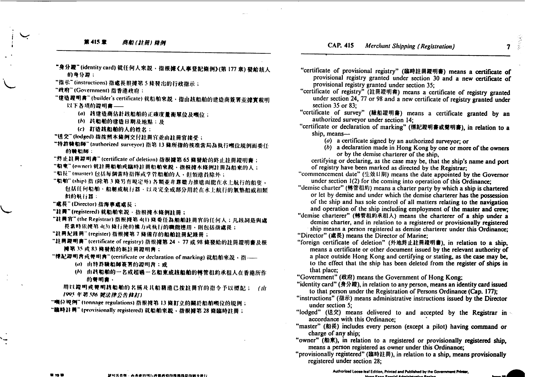### 第415章 商船(註册)修例

 $\mathbf{7}$ 

- "身分證"(identity card) 就任何人來説、指根據《人事登記條例》(第177章) 發給該人 的身分器:
- "指示"(instructions)指處長根據第5條發出的行政指示;
- "政府"(Government)指香港政府:
- "建造證明書"(builder's certificate) 就船舶來説, 指由該船舶的建造商簽署並據實載明
	- 以下各項的證明書 --
		- (a) 該建造商估計該船舶的正確度量衡單位及噸位;
		- (b) 該船舶的建造日期及地點;及
		- (c) 訂造該船舶的人的姓名:
- "送交"(lodged)指按照本條例交付註冊官並由註冊官接受;
- "特許转船師"(authorized surveyor)指第13條所指的核准當局為執行噸位規例而委任 的腌奶師:
- "终止註冊證明書" (certificate of deletion) 指根據第65 條發給的終止註冊證明書;
- "铝束"(owner)就註冊船航或臨時註冊船舶來說、指根據本條例註冊為船東的人;
- "船長"(master)包括每個當時指揮或掌管船舶的人、但領港員除外;
- "船舶"(ship) 指(除第3條另有規定外)各類並非靠難力推進而能在水上航行的船隻, 包括任何船舶、船艇或航行器、以及完全或部分用於在水上航行的氣墊船或相類 他的航行器:
- "處長"(Director)指海事處處長;
- "註冊"(registered) 就船舶來說·指根據本條例註冊;
- "註冊官"(the Registrar) 指根據第 4(1) 條委任為船舶註冊官的任何人;凡該詞是與處 長當時依據第4(3)條行使的權力或執行的職能連用、則包括指處長;
- "註冊紀錄冊"(register)指根據第7條備存的船舶註冊紀錄冊;
- "註冊範明書"(certificate of registry) 指根據第 24、77 或 98 條發給的註冊證明書及根 掩第35 或83 條發給的新註冊證明書;
- "慄紀證明書或聲明書" (certificate or declaration of marking) 就船舶來說, 指 -----
	- (a) 由特許驗船師簽署的證明書;或
	- (b) 由核船舶的一名或超過一名船東或該船舶的轉管租約承租人在香港所作 的聲明書、
	- 用以提明或弊明故船舶的名稱及其船籍港已按註冊官的指令予以標記; (山 1995年第586 號法律公告体訂)
- "嘀位规例"(tonnage regulations) 指根據第 13 條訂立的關於船舶噸位的規例;
- "臨時註冊" (provisionally registered) 就船舶來説, 指根據第28 條臨時註冊;
- "certificate of provisional registry" (臨時註冊證明書) means a certificate of provisional registry granted under section 30 and a new certificate of provisional registry granted under section 35:
- "certificate of registry" (註冊證明書) means a certificate of registry granted under section 24, 77 or 98 and a new certificate of registry granted under section  $35$  or  $83$ :
- "certificate of survey" (驗船證明書) means a certificate granted by an authorized surveyor under section 14:
- "certificate or declaration of marking" (標記證明書或聲明書), in relation to a ship, means-
	- ( $a$ ) a certificate signed by an authorized surveyor; or
	- (b) a declaration made in Hong Kong by one or more of the owners or by the demise charterer of the ship,
	- certifying or declaring, as the case may be, that the ship's name and port of registry have been marked as directed by the Registrar:
- "commencement date" (生效日期) means the date appointed by the Governor under section 1(2) for the coming into operation of this Ordinance;
- "demise charter" (轉管租約) means a charter party by which a ship is chartered or let by demise and under which the demise charterer has the possession of the ship and has sole control of all matters relating to the navigation and operation of the ship including employment of the master and crew;
- "demise charterer" (轉管租約承租人) means the charterer of a ship under a demise charter, and in relation to a registered or provisionally registered ship means a person registered as demise charterer under this Ordinance;
- "Director" (處長) means the Director of Marine;
- "foreign certificate of deletion" (外地终止註冊證明書), in relation to a ship, means a certificate or other document issued by the relevant authority of a place outside Hong Kong and certifying or stating, as the case may be, to the effect that the ship has been deleted from the register of ships in that place;
- "Government" (政府) means the Government of Hong Kong;
- "identity card" (身分證), in relation to any person, means an identity card issued to that person under the Registration of Persons Ordinance (Cap. 177);
- "instructions" (指示) means administrative instructions issued by the Director under section 5;
- "lodged" (送交) means delivered to and accepted by the Registrar in accordance with this Ordinance:
- "master" (船長) includes every person (except a pilot) having command or charge of any ship;
- "owner" (船東), in relation to a registered or provisionally registered ship, means a person registered as owner under this Ordinance;
- "provisionally registered" (臨時註冊), in relation to a ship, means provisionally registered under section 28;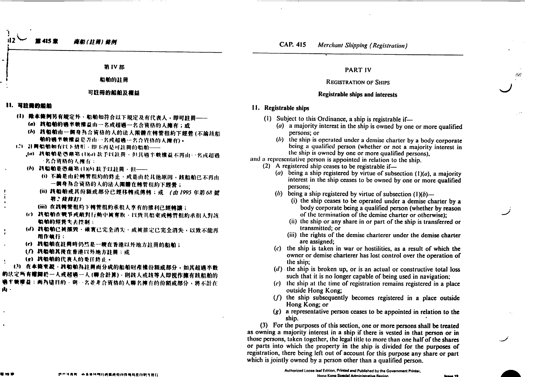第415章 商船(挂腰) 旋例

**CAP. 415 Merchant Shipping (Registration)** 

第IV部

船舶的註冊

### 可註冊的船舶及檀益

### 11. 可注册的船舶

- (1) 除本條例另有規定外·船舶如符合以下規定及有代表人,即可註冊––– (a) 线船舶的遇半敏能益由一名或超過一名合资格的人擁有;或
	- (h) 线船舶由一個身為合資格的人的法人團體在轉管租約下經營(不論該船
	- 帕的通半軟擦益是否由…名或超過一名合資格的人擁有)。
- (2) 註冊船舶和有以下情形、即不再是可註冊的船舶 ---
	- .(a) 共船舶是憑藉第(IXa)款予以註冊、但其過半載權益不再由一名或超過 一名合资格的人拥有:
	- (b) 转船舶是憑藉第(1)(b) 软子以註冊、但-----
		- (i) 不論是由於轉管租約的終止、或是由於其他原因、該船舶已不再由 一個身為合資格的人的法人團體在轉管租約下經營;
		- (ii) 該船舶或其份額或部分已經移轉或傳轉;或 (由1995年第68號 第2 续炸打)
		- (iii) 在线轉管租約下轉管租約承租人享有的權利已經轉讓;
	- (c) 該船舶在戰爭或敵對行動中被奪取、以致其船東或轉管租約承租人對該 船舶的经营失去控制:
	- (d) 线船舶已被摧毁、確實已完全消失、或被推定已完全消失,以致不能再 用作帧行:
	- (c) 鼓船舶在註冊時仍然是一艘在香港以外地方註冊的船舶;
	- (7) 转船舶其传在香港以外地方註冊:或
	- (g) 战船舶的代表人的委任终止。

(3) 在本條來說·該船舶為註冊而分成的船舶財產權份額或部分,如其超過半數 的法定所有糟蹋於一人或超過一人(聯合計算),則該人或該等人即視作擁有該船舶的 ●丰顿维益: 而為這目的·與一名並非合資格的人聯名擁有的份額或部分, 將不計在 山 -

## **PART IV**

### **REGISTRATION OF SHIPS**

### Registrable ships and interests

# 11. Registrable ships

- (1) Subject to this Ordinance, a ship is registrable if-
	- (a) a majority interest in the ship is owned by one or more qualified persons: or
	- $(b)$  the ship is operated under a demise charter by a body corporate being a qualified person (whether or not a majority interest in the ship is owned by one or more qualified persons).
- and a representative person is appointed in relation to the ship.
	- $(2)$  A registered ship ceases to be registrable if—
		- (a) being a ship registered by virtue of subsection  $(1)(a)$ , a majority interest in the ship ceases to be owned by one or more qualified persons:
		- (b) being a ship registered by virtue of subsection  $(1)(b)$ 
			- (i) the ship ceases to be operated under a demise charter by a body corporate being a qualified person (whether by reason of the termination of the demise charter or otherwise):
			- (ii) the ship or any share in or part of the ship is transferred or transmitted: or
			- (iii) the rights of the demise charterer under the demise charter arc assigned;
		- (c) the ship is taken in war or hostilities, as a result of which the owner or demise charterer has lost control over the operation of the ship;
		- $(d)$  the ship is broken up, or is an actual or constructive total loss such that it is no longer capable of being used in navigation;
		- (e) the ship at the time of registration remains registered in a place outside Hong Kong;
		- $(f)$  the ship subsequently becomes registered in a place outside Hong Kong; or
		- $(g)$  a representative person ceases to be appointed in relation to the ship.

(3) For the purposes of this section, one or more persons shall be treated as owning a majority interest in a ship if there is vested in that person or in those persons, taken together, the legal title to more than one half of the shares or parts into which the property in the ship is divided for the purposes of registration, there being left out of account for this purpose any share or part which is jointly owned by a person other than a qualified person.

÷

把开采有底,而将渔转倒行鹿属鹿取的医鸡鸡昆印射龙野行

Authorized Loose-leaf Edition, Printed and Published by the Government Printer. **Hong Kong Spacial Administrative Regi** 

 $\sim$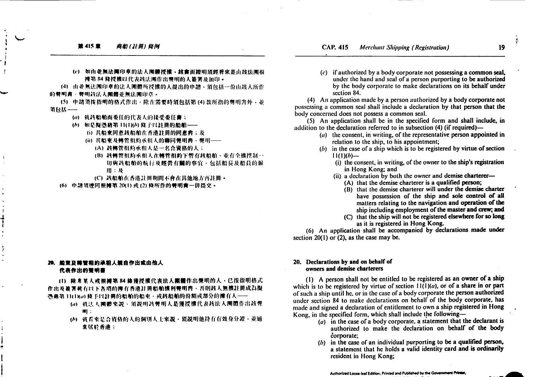(c) 如由並無法團印章的法人團體授權,該書面證明須經看來是由該法團根 **搏第84 條授權以代表該法團作出聲明的人簽署及加印。** 

(4) 由並無法團印章的法人團體所授權的人提出的申請、須包括一份由該人所作 的翼明書、翼明該法人團體並無法開印章。

(5) 申請須按指明的格式作出、除在需要時須包括第(4)款所指的聲明書外、並 須包括---

- (a) 就該船舶而委任的代表人的接受委任書;
- (6) 如是擬憑藉第 11(1)(6) 條子以註冊的船舶 ---
	- (i) 其船東同意該船舶在香港註冊的同意書;及
	- (ii) 其船東及轉管租約承租人的聯同聲明書、聲明----
		- (A) 該轉管租約承租人是一名合資格的人;
		- (B) 該轉管租約承租人在轉管租約下管有該船舶、並有全權控制一 切與該船舶的航行及經營有關的事宜、包括船長及船員的僱  $III : N$
		- (C) 該船舶在香港註冊期間不會在其他地方再註冊。
- (6) 申請須連同根據第20(1)或(2)條所作的雙明書一併提交。

## 20. 船東及轉管租約承租人親自作出或由他人 代表作出的登明書

(1) 除非某人或根據第84條獲授權代表法人團體作出聲明的人,已按指明格式 作出及簽署載有以下各項的擁有香港註冊船舶權利輕明齊、否則該人無權註冊成為擬 憑藉第11(1)ka) 條予以註冊的船舶的船東、或該船舶的份額或部分的擁有人----

- (a) 就法人團體來說·須說明該聲明人是獲授權代表該法人團體作出該聲  $m$  :
- (6) 就看來是合資格的人的個別人士來說、須說明他持有有效身分證、並通 常居於香港:

 $(c)$  if authorized by a body corporate not possessing a common seal, under the hand and seal of a person purporting to be authorized by the body corporate to make declarations on its behalf under section 84.

(4) An application made by a person authorized by a body corporate not possessing a common seal shall include a declaration by that person that the body concerned does not possess a common seal.

 $(5)$  An application shall be in the specified form and shall include, in addition to the declaration referred to in subsection (4) (if required)—

- $(a)$  the consent, in writing, of the representative person appointed in relation to the ship, to his appointment;
- (b) in the case of a ship which is to be registered by virtue of section  $11(1)(b)$ --
	- (i) the consent, in writing, of the owner to the ship's registration in Hong Kong; and
	- (ii) a declaration by both the owner and demise charterer-(A) that the demise charterer is a qualified person;
		- (B) that the demise charterer will under the demise charter
			- have possession of the ship and sole control of all matters relating to the navigation and operation of the ship including employment of the master and crew; and
		- (C) that the ship will not be registered elsewhere for so long as it is registered in Hong Kong.

(6) An application shall be accompanied by declarations made under section  $20(1)$  or  $(2)$ , as the case may be.

### 20. Declarations by and on behalf of owners and demise charterers

(1) A person shall not be entitled to be registered as an owner of a ship which is to be registered by virtue of section  $H(1)(a)$ , or of a share in or part of such a ship until he, or in the case of a body corporate the person authorized under section 84 to make declarations on behalf of the body corporate, has made and signed a declaration of entitlement to own a ship registered in Hong Kong, in the specified form, which shall include the following-

- (a) in the case of a body corporate, a statement that the declarant is authorized to make the declaration on behalf of the body corporate;
- $(b)$  in the case of an individual purporting to be a qualified person, a statement that he holds a valid identity card and is ordinarily resident in Hong Kong;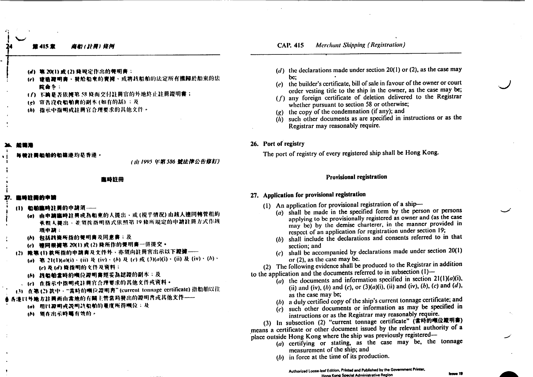### 415 童 商船(註冊) 烧例

### **Merchant Shipping (Registration) CAP. 415**

- (d) 第 20(1) 或 (2) 倏规定作出的弊明善:
- (c) 建造罐明書、發給船東的賣據、或將該船舶的法定所有權歸於船東的法 12台包
- (f) 不論是否依據第58條而交付註冊官的外地終止註冊證明書;
- (g) 宣告沒收船舶書的副本(如有的話):及
- (h) 指示中指明或註冊官合理要求的其他文件。

**非局船舶的船精港均是香港。** 

(山1995年第586號法律公告修訂)

### 医時註冊

### 血味注册的中端

- (1) 船舶监時計員的申請須––
	- (a) 由申請臨時註冊成為船東的人提出,或(視乎情況)由該人連同轉管租約 承租人提出、並須按指明格式依照第19 條所規定的申請註冊方式作該 項申請:
	- (h) 包括該條所指的聲明書及同意書:及
	- (c) 德同根據第 20(1) 或 (2) 條所作的聲明書一併提交。
- (2) 除第(1) 款所指的申請書及文件外、亦須向註冊官出示以下證據---
	- (a) 第 21(1)(a)(i) · (ii) 及 (iv) · (b) 及 (c) 或 (3)(a)(i) · (ii) 及 (iv) · (b) · (c) 及(d) 條指明的文件及資料:
	- (h) 线船舶需時的噸位證明書經妥為認證的副本;及
	- (c) 在指示中指明或註冊官合理要求的其他文件或资料。
- (3) 在第(2) 款中 · "當時的噸位證明書"(current tonnage certificate) 指船舶以往
- ※各港以外地方註冊而由常地的有關主管當局發出的證明內或其他文作──
	- (m) 用以範囲或説明該船舶的量度所得噸位;及
	- (6) 領在出示時屬有效的。
- (d) the declarations made under section 20(1) or (2), as the case may bc:
- (e) the builder's certificate, bill of sale in favour of the owner or court order vesting title to the ship in the owner, as the case may be;
- (f) any foreign certificate of deletion delivered to the Registrar whether pursuant to section 58 or otherwise;
- (g) the copy of the condemnation (if any); and
- $(h)$  such other documents as are specified in instructions or as the Registrar may reasonably require.
- 26. Port of registry

The port of registry of every registered ship shall be Hong Kong.

### **Provisional registration**

### 27. Application for provisional registration

- (1) An application for provisional registration of a ship-
	- (a) shall be made in the specified form by the person or persons applying to be provisionally registered as owner and (as the case may be) by the demise charterer, in the manner provided in respect of an application for registration under section 19;
	- (b) shall include the declarations and consents referred to in that section; and
	- $(c)$  shall be accompanied by declarations made under section 20(1) or (2), as the case may be.

(2) The following evidence shall be produced to the Registrar in addition to the application and the documents referred to in subsection (1)-

- (a) the documents and information specified in section  $21(1)(a)(i)$ ,
	- (ii) and (iv), (b) and (c), or  $(3)(a)(i)$ , (ii) and (iv), (b), (c) and (d), as the case may be;
	- (b) a duly certified copy of the ship's current tonnage certificate; and
	- $(c)$  such other documents or information as may be specified in instructions or as the Registrar may reasonably require.

(3) In subsection (2) "current tonnage certificate" (當時的噸位證明書) means a certificate or other document issued by the relevant authority of a place outside Hong Kong where the ship was previously registered-

- (a) certifying or stating, as the case may be, the tonnage measurement of the ship; and
- $(b)$  in force at the time of its production.

**Januar 19**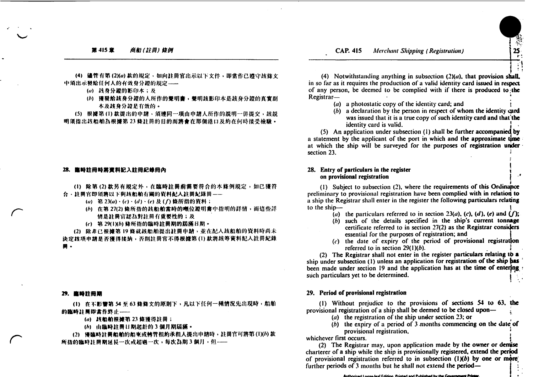### 第415章 商船(註冊)條例

**Merchant Shipping (Registration) CAP. 415** 



(4) 儘管有第(2)(a) 款的規定, 如向註冊官出示以下文件, 即當作已遵守該條文 中須出示發給任何人的有效身分證的規定-----

(a) 該身分證的影印本;及

(b) 獲發給該身分證的人所作的聲明書, 聲明該影印本是該身分證的真實副 本及該身分證是有效的。

(5) 根據第(1)款提出的申請,須連同一項由申請人所作的説明一併提交,該説 明須指出該船舶為根據第23條註冊的目的而將會在那個港口及約在何時接受檢驗。

### 28. 臨時註冊時將資料記入註冊紀錄冊內

(1) 除第(2)款另有規定外,在臨時註冊前需要符合的本條例規定,如已獲符 台、註冊官即須將以下與該船舶有關的資料記入註冊紀錄冊==

- (a) 第 23(a) · (c) · (d) · (e) 及 (f) 條所指的資料;
	- (b) 在第27(2)條所指的該船舶當時的噸位證明書中指明的詳情,而這些詳 情是註冊官認為對註冊有重要性的;及

(c) 第 29(1)(b) 條所指的臨時註冊期的屆滿日期。

(2) 除非已根據第19條就該船舶提出註冊申請,並在記入該船舶的資料時尚未 決定該項申請是否獲得接纳,否則註冊官不得根據第(1) 款將該等資料記入註冊紀錄 冊 -

### 29. 高時註冊期

(1) 在不影響第 54 至 63 條條文的原則下,凡以下任何一種情況先出現時,船舶 的臨時註冊即當作終止----

- (a) 該船舶根據第 23 條獲得註冊;
- (6) 由臨時註冊日期起計的3個月期屆滿・

(2) 獲臨時註冊船舶的船東或轉管租約承租人提出申請時,註冊官可將第(1)(6)款 所指的臨時註冊期延長一次或超過一次,每次為期3個月,但--

(4) Notwithstanding anything in subsection  $(2)(a)$ , that provision shall, in so far as it requires the production of a valid identity card issued in respect of any person, be deemed to be complied with if there is produced to the Registrar-

- $(a)$  a photostatic copy of the identity card; and
- $(b)$  a declaration by the person in respect of whom the identity card was issued that it is a true copy of such identity card and that the identity card is valid.

(5) An application under subsection (1) shall be further accompanied by a statement by the applicant of the port in which and the approximate time at which the ship will be surveyed for the purposes of registration under section 23.

## 28. Entry of particulars in the register on provisional registration

(1) Subject to subsection (2), where the requirements of this Ordinance preliminary to provisional registration have been complied with in relation to a ship the Registrar shall enter in the register the following particulars relating to the ship-

- (a) the particulars referred to in section 23(a), (c), (d), (e) and  $(f)$ ;
- (b) such of the details specified in the ship's current tonnage certificate referred to in section 27(2) as the Registrar considers essential for the purposes of registration; and
- $(c)$  the date of expiry of the period of provisional registration referred to in section  $29(1)(b)$ .

(2) The Registrar shall not enter in the register particulars relating to a ship under subsection (1) unless an application for registration of the ship has been made under section 19 and the application has at the time of entering such particulars yet to be determined.

### 29. Period of provisional registration

(1) Without prejudice to the provisions of sections 54 to 63, the provisional registration of a ship shall be deemed to be closed upon-

- (a) the registration of the ship under section 23; or
- $(b)$  the expiry of a period of 3 months commencing on the date of provisional registration,

whichever first occurs.

(2) The Registrar may, upon application made by the owner or demise charterer of a ship while the ship is provisionally registered, extend the period of provisional registration referred to in subsection  $(1)(b)$  by one or more further periods of 3 months but he shall not extend the period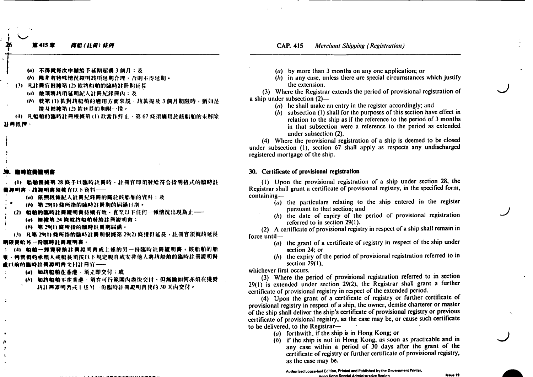筆415章 商船(註册) 能例

- (a) 不得就每次申請給: 下延期超過 3 個月 : 及
- (b) 除非有特殊情况避明故项延期合理·否則不得延期·
- (3) 凡註冊官根掩第(2)款將船舶的臨時註冊期延長---
	- (a) 他須將該項延期記入註冊紀錄冊內:及
	- (h) 就第(1) 款對該船舶的適用方面來說、該款提及3個月期限時,猶如是 撑及根械第(2)款延長的期限一樣。
- (4) 凡船舶的臨時註冊根據第(1)款當作終止、第67條須適用於該船舶的未解除

### 23 两纸押

# 计晶管调音

(1) 船舶根被第28 恢于以臨時註冊時、註冊官即須發給符合指明格式的臨時註 - 該趣明書須載有以下資料----

- (a) 依照故條記入註冊紀錄冊的關於該船舶的資料:及
- (h) 第29(1)條所指的臨時註冊期的屆滿日期。
- (2) 船舶的臨時註冊親明書持續有效、直至以下任何一種情況出現為止 --
	- (a) 根據第24 條就該船舶發給註冊證明書:
	- (6) 第29(1)條所指的臨時計冊期屆滿。
- (3) 凡第 29(1)條所指的臨時註冊期根據第 29(2)條獲得延長、註冊官須就該延長

### 期限発给另一份臨時註冊證明書。

船舶一經獲發給註冊證明書或上述的另一份臨時註冊證明書,該船舶的船 **伸管相约承相人或船長須按以下規定視自或安排他人將該船舶的臨時註冊證明書** 孟以前的臨時註冊證明書文付註冊官——

- (a) 如故船舶在香港·須立即交付:或
	- (A) 如其船舶不在香港·須在可行範圍內盡快交付·但無論如何亦須在獲發 共註冊週間書或十述另一份臨時註冊證明書後的 30 天内交付。
- (a) by more than 3 months on any one application; or
- $(b)$  in any case, unless there are special circumstances which justify the extension.

(3) Where the Registrar extends the period of provisional registration of a ship under subsection  $(2)$ —

- (a) he shall make an entry in the register accordingly; and
- (b) subsection (1) shall for the purposes of this section have effect in relation to the ship as if the reference to the period of 3 months in that subsection were a reference to the period as extended under subsection (2).

(4) Where the provisional registration of a ship is deemed to be closed under subsection (1), section 67 shall apply as respects any undischarged registered mortgage of the ship.

### 30. Certificate of provisional registration

(1) Upon the provisional registration of a ship under section 28, the Registrar shall grant a certificate of provisional registry, in the specified form, containing-

- $(a)$  the particulars relating to the ship entered in the register pursuant to that section; and
- $(b)$  the date of expiry of the period of provisional registration referred to in section 29(1).

(2) A certificate of provisional registry in respect of a ship shall remain in force until-

- (a) the grant of a certificate of registry in respect of the ship under section 24: or
- (b) the expiry of the period of provisional registration referred to in section  $29(1)$ ,

whichever first occurs.

(3) Where the period of provisional registration referred to in section 29(1) is extended under section 29(2), the Registrar shall grant a further certificate of provisional registry in respect of the extended period.

(4) Upon the grant of a certificate of registry or further certificate of provisional registry in respect of a ship, the owner, demise charterer or master of the ship shall deliver the ship's certificate of provisional registry or previous certificate of provisional registry, as the case may be, or cause such certificate to be delivered, to the Registrar-

 $(a)$  forthwith, if the ship is in Hong Kong; or

 $(b)$  if the ship is not in Hong Kong, as soon as practicable and in any case within a period of 30 days after the grant of the certificate of registry or further certificate of provisional registry. as the case may be.

Authorized Loose-leaf Edition, Printed and Published by the Government Printer. **Hong Kong Special Administrative Region**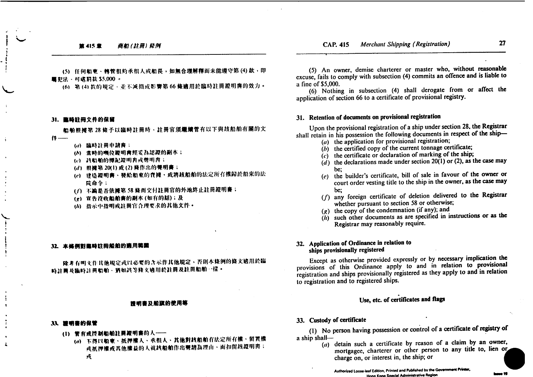$27$ 

19 مسط

(5) 任何船束、轉管租約承租人或船長,如無合理解釋而未能遵守第(4)款,即 ■犯法·可虞罰款 \$5,000 ·

(6) 第(4)款的規定、並不減損或影響第66條適用於臨時註冊證明書的效力。

### 31. 事時註冊文件的保留

船舶根掩第28條予以臨時註冊時、註冊官須繼續管有以下與該船舶有關的文  $f^*$ 

- (a) 臨時註冊申請書:
- (b) 意時的嗎位證明書經妥為認證的副本;
- (c) 該船舶的標記證明書或聲明書;
- (d) 根據第 20(1) 或 (2) 條作出的聲明書;
- (c) 建造罐明書、發給船東的賣據、或將該船舶的法定所有權歸於船東的法 院命今:
- (/) 不論是否依據第58條而交付註冊官的外地終止註冊證明書;
- (g) 官告汐收船舶書的副本(如有的話);及
- (h) 指示中指明或註冊官合理要求的其他文件。

### 32. 本條例對臨時註冊船舶的適用範圍

除非有明文作其他規定或以必要的含示作其他規定、否則本條例的條文適用於臨 時計冊及臨時計冊船舶·猶如該等條文適用於註冊及註冊船舶一樣·

### 博明書及船旗的使用等

### 33. 罐明書的保管

ję.

 $\ddot{\sim}$ 

- (1) 管有或控制船舶註冊證明書的人 --
	- (a) 不得以船束、抵押權人、承租人、其他對該船舶有法定所有權、留置權 或抓押權或其他權益的人就該船舶作出聲請為理由、而扣留該證明書;

(5) An owner, demise charterer or master who, without reasonable excuse, fails to comply with subsection (4) commits an offence and is liable to a fine of \$5,000.

(6) Nothing in subsection (4) shall derogate from or affect the application of section 66 to a certificate of provisional registry.

# 31. Retention of documents on provisional registration

Upon the provisional registration of a ship under section 28, the Registrar shall retain in his possession the following documents in respect of the ship-

- $(a)$  the application for provisional registration;
- $(b)$  the certified copy of the current tonnage certificate;
- $(c)$  the certificate or declaration of marking of the ship;
- $(d)$  the declarations made under section 20(1) or (2), as the case may be:
- (e) the builder's certificate, bill of sale in favour of the owner or court order vesting title to the ship in the owner, as the case may be:
- (f) any foreign certificate of deletion delivered to the Registrar whether pursuant to section 58 or otherwise;
- $(g)$  the copy of the condemnation (if any); and
- $(h)$  such other documents as are specified in instructions or as the Registrar may reasonably require.

# 32. Application of Ordinance in relation to ships provisionally registered

Except as otherwise provided expressly or by necessary implication the provisions of this Ordinance apply to and in relation to provisional registration and ships provisionally registered as they apply to and in relation to registration and to registered ships.

# Use, etc. of certificates and flags

# 33. Custody of certificate

(1) No person having possession or control of a certificate of registry of a ship shall-

(a) detain such a certificate by reason of a claim by an owner, mortgagee, charterer or other person to any title to, lien or charge on, or interest in, the ship; or

Authorized Loose-leaf Edition, Printed and Published by the Government Printer, Hong Kong Special Administrative Region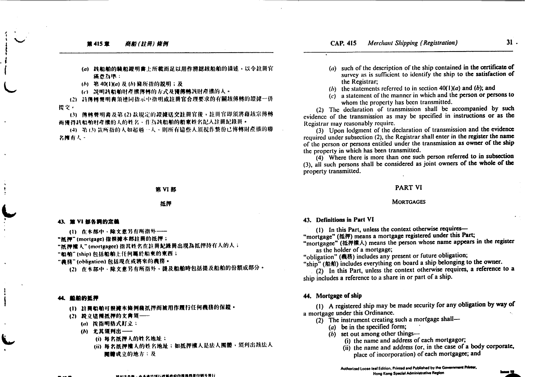### 商船(註冊)條例 第415章

- (a) 核船舶的験船證明書上所載而足以用作辨認該船舶的描述,以令註冊官 滿意為绝。
- (h) 第40(1)(a) 及(h) 條所指的説明;及

(c) 説明該船舶財產權傳轉的方式及獲傳轉該財產權的人。

(2) 該傳轉聲明書須連同指示中指明或註冊官合理要求的有關該傳轉的證據一併 提交。

(3) 傳轉聲明書及第(2)款規定的證據送交註冊官後,註冊官即須將藉該宗傳轉 而獲得該船舶財產權的人的姓名、作為該船舶的船東姓名記入註冊紀錄冊。

(4) 第(3)款所指的人如超過一人、則所有這些人須視作整份已傳轉財產權的聯 名摊有人。

### 第VI部

### 抵押

### 43. 第 VI 部各詞的定義

(1) 在木部中·除文意另有所指外——

"抵押"(mortgage)指根據本部註冊的抵押;

"抵押襦入"(mortgagee)指其姓名在註冊紀錄冊出現為抵押持有人的人;

"船舶"(ship)包括船舶上任何属於船束的束西;

"義務"(obligation)包括現在或將來的義務。

(2) 在本部中·除文意另有所指外,提及船舶時包括提及船舶的份額或部分。

### 44、船舶的抵押

- (1) 註冊船舶可根據本條例藉抵押而被用作履行任何義務的保證。
- (2) 設立協種抵押的文書須––
	- (a) 按指明格式訂立:
	- (b) 尤其須列出–––
		- (i) 每名抵押人的姓名地址;
		- (ii) 每名抵押權人的姓名地址;如抵押權人是法人團體,須列出該法人 **關體成立的地方:及**

(a) such of the description of the ship contained in the certificate of survey as is sufficient to identify the ship to the satisfaction of the Registrar:

 $31.$ 

- (b) the statements referred to in section  $40(1)(a)$  and (b); and
- $(c)$  a statement of the manner in which and the person or persons to whom the property has been transmitted.

(2) The declaration of transmission shall be accompanied by such evidence of the transmission as may be specified in instructions or as the Registrar may reasonably require.

(3) Upon lodgment of the declaration of transmission and the evidence required under subsection (2), the Registrar shall enter in the register the name of the person or persons entitled under the transmission as owner of the ship the property in which has been transmitted.

(4) Where there is more than one such person referred to in subsection (3), all such persons shall be considered as joint owners of the whole of the property transmitted.

### **PART VI**

### **MORTGAGES**

### 43. Definitions in Part VI

(1) In this Part, unless the context otherwise requires-

"mortgage" (抵押) means a mortgage registered under this Part;

"mortgagee" (抵押權人) means the person whose name appears in the register as the holder of a mortgage;

"obligation" (義務) includes any present or future obligation;

"ship" (船舶) includes everything on board a ship belonging to the owner.

(2) In this Part, unless the context otherwise requires, a reference to a ship includes a reference to a share in or part of a ship.

### 44. Mortgage of ship

(1) A registered ship may be made security for any obligation by way of a mortgage under this Ordinance.

- $(2)$  The instrument creating such a mortgage shall-
	- (a) be in the specified form;
	- $(b)$  set out among other things—
		- (i) the name and address of each mortgagor;
		- (ii) the name and address (or, in the case of a body corporate, place of incorporation) of each mortgagee; and

Authorized Loose-leaf Edition, Printed and Published by the Government Printer, Hong Kong Special Administrative Region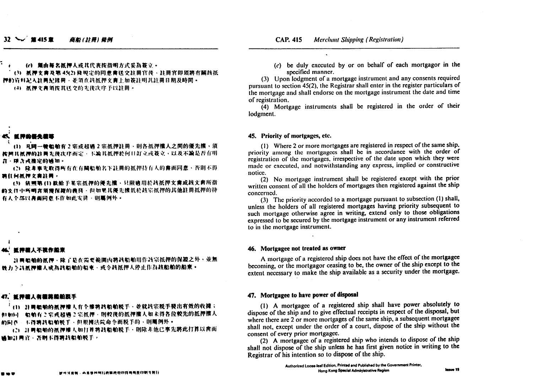### $32 \sim$  #415 m 商船(註冊) 條例

## (c) 缅由每名抵押人或其代表按指明方式妥為簽立。 (3) 抵押文書及第 45(2) 倏規定的同意會送交註冊官传、註冊官即須將有關該抵 押的管料記入註冊紀錄冊、並須在該抵押文書上加簽註明其註冊日期及時間。

(4) 抵押文書領按其送交的先後次序予以註冊。

# 长 复种的复数重算

(1) 凡同一转船舶有2宗或招调2宗抵押註冊、則各抵押儀人之間的優先權,須 按照其抓押的註冊先接次序而定。下論其抵押於何日訂立或簽立。以及不論是否有明 在·陳含或推定的通知·

(2) 隆非事先取得所有在有關船舶名下註冊的抵押持有人的書面同意、否則不得 将任何抵押文典註冊。

(3) 依照第(1) 款给予某宗抵押的優先權、只限適用於該抵押文書或該文書所指 的文件中所明宫须掩保罐的粪務·但如果其優先慌低於該宗抵押的其他註冊抵押的持 有人全部以書面同意不作如此安排、則屬例外。

## 近神檀人不视作船束

31 网络帕的抵押·除了是在需要範圍內將該船舶用作該宗抵押的保證之外,並無 做力令該抓押權人成為該船舶的船東·或令該抵押人停止作為該船舶的船東·

### 47. 近神建人有建筑船舶脱手

(1) 註冊船舶的抵押權人有全權將該船舶脱手、並就該宗脱手發出有效的收據; 但如同。始前有2.宗或超遇2.宗抓押·朋較後的抵押權人如未得各位較先的抵押權人 的同意。玉得着故船舶脱手、但根據法院命令而脱手的、則屬例外。

(2) 註冊船舶的抵押權人如打算將該船舶脱手、則除非他已事先將此打算以書面 通知注册官·否则不得将故船舶脱手。

 $(c)$  be duly executed by or on behalf of each mortgagor in the specified manner.

(3) Upon lodgment of a mortgage instrument and any consents required pursuant to section 45(2), the Registrar shall enter in the register particulars of the mortgage and shall endorse on the mortgage instrument the date and time of registration.

(4) Mortgage instruments shall be registered in the order of their lodgment.

### 45. Priority of mortgages, etc.

(1) Where 2 or more mortgages are registered in respect of the same ship. priority among the mortgagees shall be in accordance with the order of registration of the mortgages, irrespective of the date upon which they were made or executed, and notwithstanding any express, implied or constructive notice.

(2) No mortgage instrument shall be registered except with the prior written consent of all the holders of mortgages then registered against the ship concerned.

(3) The priority accorded to a mortgage pursuant to subsection (1) shall, unless the holders of all registered mortgages having priority subsequent to such mortgage otherwise agree in writing, extend only to those obligations expressed to be secured by the mortgage instrument or any instrument referred to in the mortgage instrument.

### 46. Mortgagee not treated as owner

A mortgage of a registered ship does not have the effect of the mortgagee becoming, or the mortgagor ceasing to be, the owner of the ship except to the extent necessary to make the ship available as a security under the mortgage.

# 47. Mortgagee to have power of disposal

(1) A mortgagee of a registered ship shall have power absolutely to dispose of the ship and to give effectual receipts in respect of the disposal, but where there are 2 or more mortgages of the same ship, a subsequent mortgagee shall not, except under the order of a court, dispose of the ship without the consent of every prior mortgagee.

(2) A mortgagee of a registered ship who intends to dispose of the ship shall not dispose of the ship unless he has first given notice in writing to the Registrar of his intention so to dispose of the ship.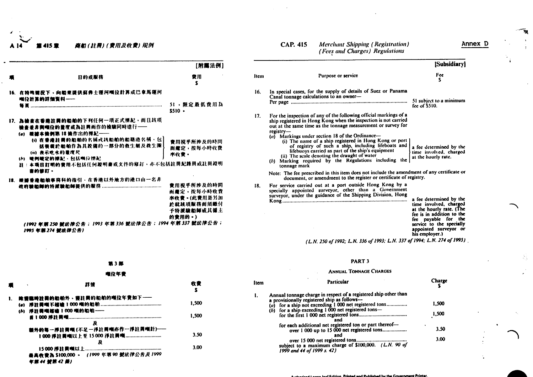商船(註冊)(費用及收費)規例 415 章

|                                                                                                                                           | 【附属法例】                                                                        |
|-------------------------------------------------------------------------------------------------------------------------------------------|-------------------------------------------------------------------------------|
| 目的或服務                                                                                                                                     | 費用<br>s                                                                       |
| 16. 在特殊情况下,向船束提供蘇彝士運河噸位計算或巴拿馬運河<br>唯位外其的非细资料----                                                                                          | 51,限定最低費用為<br>$$510 -$                                                        |
| 17. 為檢查在香港註冊的船舶的下列任何一項正式標記、而且該項<br>檢查差非興噸位的量度或為註冊而作的檢驗同時進行——<br>(a) 继续本能例第18 後作出的標記——                                                     |                                                                               |
| (i) 在普遍註冊的船舶的名稱或該船舶的船籍港名稱·包]<br>括要裁於船舶作為其股備的一部分的救生艇及救生圈<br>(ii) 表示吃水的量度尺<br>(A) 硬侧硬定的根配、包括咽位锁配<br>註:本项目訂明的費用不包括任何證明書或文件的修訂,亦不包括註冊紀錄冊或註冊證明 | 费用视乎所涉及的時間<br>而爬定,按每小時收費<br>水收費・                                              |
| 書的管訂。                                                                                                                                     |                                                                               |
| 18. 模據香港船舶事務科的指引、在香港以外地方的港口由一名非                                                                                                           | 費用視乎所涉及的時間<br>而麓定,按每小時收費<br>率收费。(此費用是另加<br>於就該項服務而須繳付<br>予特派驗船師或其偏主<br>的责用的。) |
| (1992年第250 號法律公告;1993 年第336 號法律公告;1994 年第337 號法律公告;<br>1995 年第274 號法律公告)                                                                  |                                                                               |

第3部

喉位年費

|      | <b>CAP. 415</b>             | <b>Merchant Shipping (Registration)</b><br>(Fees and Charges) Regulations                                                                                                                                                                                                                                                                                                                                                                                                                                                                   | Anne                                                                                                                                                                                                     |
|------|-----------------------------|---------------------------------------------------------------------------------------------------------------------------------------------------------------------------------------------------------------------------------------------------------------------------------------------------------------------------------------------------------------------------------------------------------------------------------------------------------------------------------------------------------------------------------------------|----------------------------------------------------------------------------------------------------------------------------------------------------------------------------------------------------------|
|      |                             |                                                                                                                                                                                                                                                                                                                                                                                                                                                                                                                                             | [Subsidiary]                                                                                                                                                                                             |
| Item |                             | Purpose or service                                                                                                                                                                                                                                                                                                                                                                                                                                                                                                                          | Fee<br>s                                                                                                                                                                                                 |
| 16.  |                             | In special cases, for the supply of details of Suez or Panama<br>Canal tonnage calculations to an owner-                                                                                                                                                                                                                                                                                                                                                                                                                                    | 51 subject to a minimum<br>fee of $$510.$                                                                                                                                                                |
| 17.  | $registry-$<br>tonnage mark | For the inspection of any of the following official markings of a<br>ship registered in Hong Kong when the inspection is not carried<br>out at the same time as the tonnage measurement or survey for<br>$(a)$ Markings under section 18 of the Ordinance-<br>(i) The name of a ship registered in Hong Kong or port  <br>of registry of such a ship, including lifeboats and<br>lifebuoys carried as part of the ship's equipment<br>(ii) The scale denoting the draught of water<br>(b) Marking required by the Regulations including the | a fee determined by the<br>time involved, charged<br>at the hourly rate.                                                                                                                                 |
|      |                             | Note: The fee prescribed in this item does not include the amendment of any certificate or<br>document, or amendment to the register or certificate of registry.                                                                                                                                                                                                                                                                                                                                                                            |                                                                                                                                                                                                          |
| 18.  |                             | For service carried out at a port outside Hong Kong by a<br>specially appointed surveyor, other than a Government<br>surveyor, under the guidance of the Shipping Division, Hong                                                                                                                                                                                                                                                                                                                                                            | a fee determined by the<br>time involved, charged<br>at the hourly rate. (The<br>fee is in addition to the<br>fee payable for the<br>service to the specially<br>appointed surveyor or<br>his employer.) |

(L.N. 250 of 1992; L.N. 336 of 1993; L.N. 337 of 1994; L.N. 274 of 1995)

| ٦<br>о |  |
|--------|--|
|--------|--|

# **ANNUAL TONNAGE CHARGES**

| ■ | nh                                                       | 收复    | Item | Particular                                                                                                                                                                                                                           | Charge |
|---|----------------------------------------------------------|-------|------|--------------------------------------------------------------------------------------------------------------------------------------------------------------------------------------------------------------------------------------|--------|
|   | 除甕臨時註冊的船舶外、獲註冊的船舶的噸位年費如下---<br>(6) 择註冊噸越爐 1:000 噸的船舶---- | 1.500 |      | Annual tonnage charge in respect of a registered ship other than<br>a provisionally registered ship as follows--<br>(a) for a ship not exceeding 1 000 net registered tons<br>(b) for a ship exceeding $1\,000$ net registered tons- | 1.500  |
|   |                                                          | I.SOO |      |                                                                                                                                                                                                                                      | 1,500  |
|   | 额外的每一掃註冊噸(不足一浮註冊噸亦作一浮註冊噸計)---<br>1000 抒註興嘆以上至15000 抒註冊哦  | 3.50  |      | for each additional net registered ton or part thereof-<br>over 1 000 up to 15 000 net registered tons                                                                                                                               | 3.50   |
|   |                                                          | 3.00  |      | subject to a maximum charge of \$100,000. (L.N. 90 of                                                                                                                                                                                | 3.00   |
|   | 最高收费為 \$100,000 · (1999年第90 鼓法律公告及1999)                  |       |      | 1999 and 44 of 1999 s. 42)                                                                                                                                                                                                           |        |

### 11 41 號第 42 柴)

Annex D

ক্

る